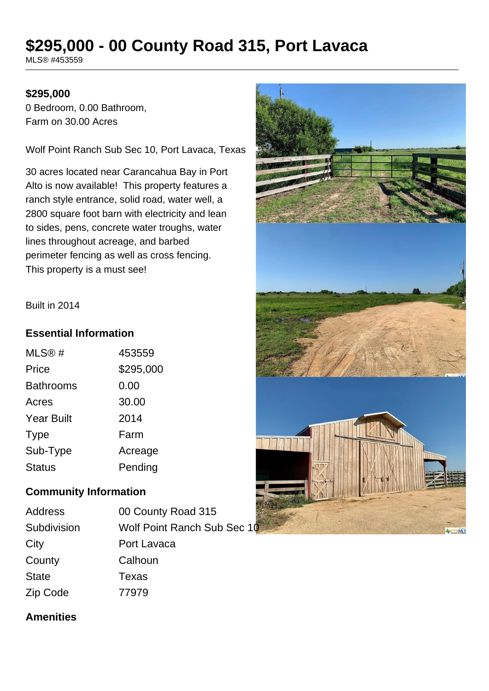# **\$295,000 - 00 County Road 315, Port Lavaca**

MLS® #453559

#### **\$295,000**

0 Bedroom, 0.00 Bathroom, Farm on 30.00 Acres

Wolf Point Ranch Sub Sec 10, Port Lavaca, Texas

30 acres located near Carancahua Bay in Port Alto is now available! This property features a ranch style entrance, solid road, water well, a 2800 square foot barn with electricity and lean to sides, pens, concrete water troughs, water lines throughout acreage, and barbed perimeter fencing as well as cross fencing. This property is a must see!

Built in 2014

#### **Essential Information**

| MLS@#             | 453559    |
|-------------------|-----------|
| Price             | \$295,000 |
| <b>Bathrooms</b>  | 0.00      |
| Acres             | 30.00     |
| <b>Year Built</b> | 2014      |
| <b>Type</b>       | Farm      |
| Sub-Type          | Acreage   |
| Status            | Pending   |

#### **Community Information**

| Address     |  |
|-------------|--|
| Subdivision |  |
| City        |  |
| County      |  |
| State       |  |
| Zip Code    |  |

00 County Road 315 Wolf Point Ranch Sub Sec 10 Port Lavaca Calhoun Texas  $77979$ 



#### **Amenities**